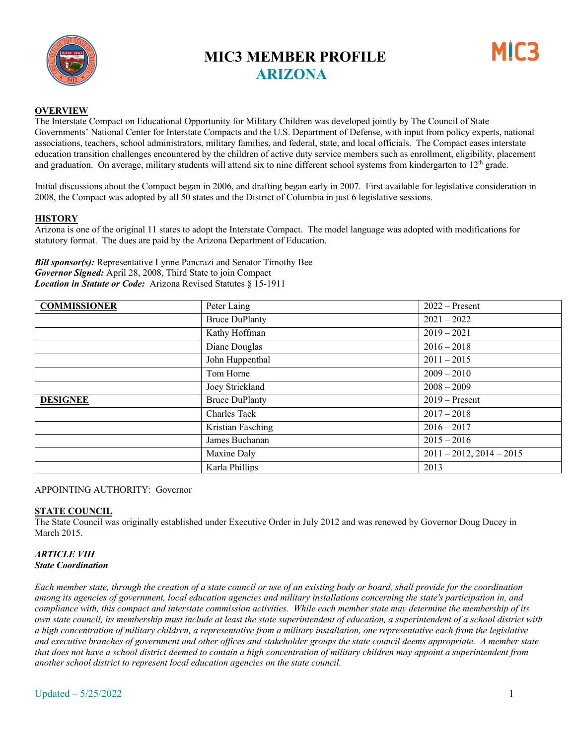

## **MIC3 MEMBER PROFILE ARIZONA**



#### **OVERVIEW**

The Interstate Compact on Educational Opportunity for Military Children was developed jointly by The Council of State Governments' National Center for Interstate Compacts and the U.S. Department of Defense, with input from policy experts, national associations, teachers, school administrators, military families, and federal, state, and local officials. The Compact eases interstate education transition challenges encountered by the children of active duty service members such as enrollment, eligibility, placement and graduation. On average, military students will attend six to nine different school systems from kindergarten to  $12<sup>th</sup>$  grade.

Initial discussions about the Compact began in 2006, and drafting began early in 2007. First available for legislative consideration in 2008, the Compact was adopted by all 50 states and the District of Columbia in just 6 legislative sessions.

#### **HISTORY**

Arizona is one of the original 11 states to adopt the Interstate Compact. The model language was adopted with modifications for statutory format. The dues are paid by the Arizona Department of Education.

*Bill sponsor(s):* Representative Lynne Pancrazi and Senator Timothy Bee *Governor Signed:* April 28, 2008, Third State to join Compact *Location in Statute or Code:* Arizona Revised Statutes § 15-1911

| <b>COMMISSIONER</b> | Peter Laing           | $2022 - Present$              |
|---------------------|-----------------------|-------------------------------|
|                     | <b>Bruce DuPlanty</b> | $2021 - 2022$                 |
|                     | Kathy Hoffman         | $2019 - 2021$                 |
|                     | Diane Douglas         | $2016 - 2018$                 |
|                     | John Huppenthal       | $2011 - 2015$                 |
|                     | Tom Horne             | $2009 - 2010$                 |
|                     | Joey Strickland       | $2008 - 2009$                 |
| <b>DESIGNEE</b>     | <b>Bruce DuPlanty</b> | $2019 -$ Present              |
|                     | Charles Tack          | $2017 - 2018$                 |
|                     | Kristian Fasching     | $2016 - 2017$                 |
|                     | James Buchanan        | $2015 - 2016$                 |
|                     | Maxine Daly           | $2011 - 2012$ , $2014 - 2015$ |
|                     | Karla Phillips        | 2013                          |

#### APPOINTING AUTHORITY: Governor

### **STATE COUNCIL**

The State Council was originally established under Executive Order in July 2012 and was renewed by Governor Doug Ducey in March 2015.

#### *ARTICLE VIII State Coordination*

*Each member state, through the creation of a state council or use of an existing body or board, shall provide for the coordination among its agencies of government, local education agencies and military installations concerning the state's participation in, and compliance with, this compact and interstate commission activities. While each member state may determine the membership of its own state council, its membership must include at least the state superintendent of education, a superintendent of a school district with a high concentration of military children, a representative from a military installation, one representative each from the legislative and executive branches of government and other offices and stakeholder groups the state council deems appropriate. A member state that does not have a school district deemed to contain a high concentration of military children may appoint a superintendent from another school district to represent local education agencies on the state council.*